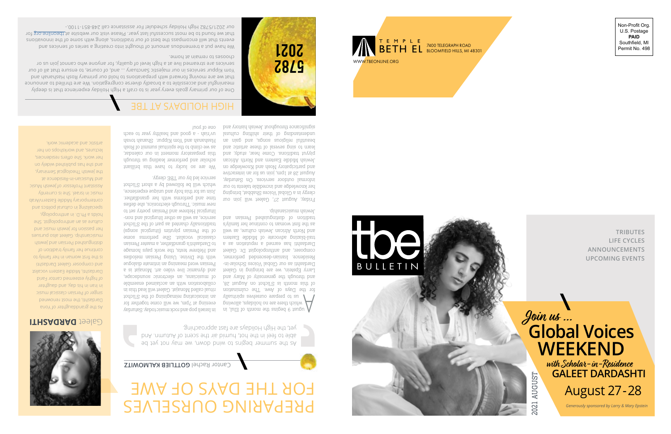

Non-Profit Org. U.S. Postage **PAID** Southfield, MI Permit No. 498



**TRIBUTES LIFE CYCLES ANNOUNCEMENTS UPCOMING EVENTS**

# **Join us ... Glo b al V oices WEEKEND**

2021 AUGUST

2021 AUGUST

 **with Scholar-in-Residence GALEET DARDASHTI** August 27 - 28

*Generously sponsored by Larry & Mary Epstein*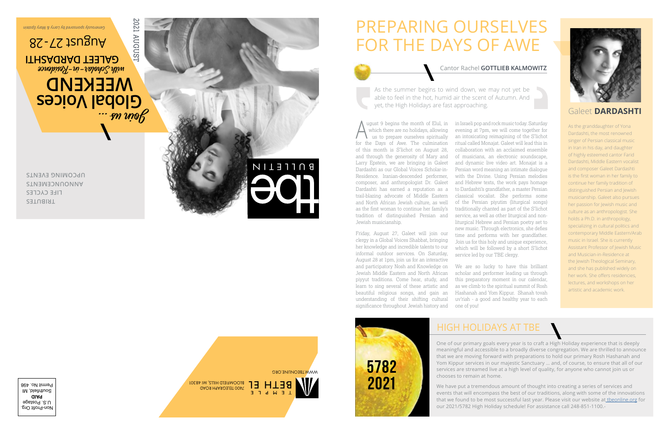## PREPARING OURSELVES FOR THE DAYS OF AWE

#### Cantor Rachel **GOTTLIEB KALMOWITZ**

As the summer begins to wind down, we may not yet be able to feel in the hot, humid air the scent of Autumn. And yet, the High Holidays are fast approaching.

 ugust 9 begins the month of Elul, in which there are no holidays, allowing us to prepare ourselves spiritually for the Days of Awe. The culmination of this month is S'lichot on August 28, and through the generosity of Mary and Larry Epstein, we are bringing in Galeet Dardashti as our Global Voices Scholar-in-Residence. Iranian-descended performer, composer, and anthropologist Dr. Galeet Dardashti has earned a reputation as a trail-blazing advocate of Middle Eastern and North African Jewish culture, as well as the first woman to continue her family's tradition of distinguished Persian and Jewish musicianship.  $\bigwedge^{\cdot}$ 

Friday, August 27, Galeet will join our clergy in a Global Voices Shabbat, bringing her knowledge and incredible talents to our informal outdoor services. On Saturday, August 28 at 1pm, join us for an interactive and participatory Nosh and Knowledge on Jewish Middle Eastern and North African piyyut traditions. Come hear, study, and learn to sing several of these artistic and beautiful religious songs, and gain an understanding of their shifting cultural significance throughout Jewish history and in Israeli pop and rock music today. Saturday evening at 7pm, we will come together for an intoxicating reimagining of the S'lichot ritual called Monajat. Galeet will lead this in collaboration with an acclaimed ensemble of musicians, an electronic soundscape, and dynamic live video art. Monajat is a Persian word meaning an intimate dialogue with the Divine. Using Persian melodies and Hebrew texts, the work pays homage to Dardashti's grandfather, a master Persian classical vocalist. She performs some of the Persian piyutim (liturgical songs) traditionally chanted as part of the S'lichot service, as well as other liturgical and nonliturgical Hebrew and Persian poetry set to new music. Through electronics, she defies time and performs with her grandfather. Join us for this holy and unique experience, which will be followed by a short S'lichot service led by our TBE clergy.

We are so lucky to have this brilliant scholar and performer leading us through this preparatory moment in our calendar, as we climb to the spiritual summit of Rosh Hashanah and Yom Kippur. Shanah tovah uv'riah - a good and healthy year to each one of you!



### Galeet **DARDASHTI**

As the granddaughter of Yona Dardashti, the most renowned singer of Persian classical music in Iran in his day, and daughter of highly esteemed cantor Farid Dardashti, Middle Eastern vocalist and composer Galeet Dardashti is the first woman in her family to continue her family tradition of distinguished Persian and Jewish musicianship. Galeet also pursues her passion for Jewish music and culture as an anthropologist. She holds a Ph.D. in anthropology, specializing in cultural politics and contemporary Middle Eastern/Arab music in Israel. She is currently Assistant Professor of Jewish Music and Musician-in-Residence at the Jewish Theological Seminary, and she has published widely on her work. She offers residencies, lectures, and workshops on her artistic and academic work.



## HIGH HOLIDAYS AT TBE

One of our primary goals every year is to craft a High Holiday experience that is deeply meaningful and accessible to a broadly diverse congregation. We are thrilled to announce that we are moving forward with preparations to hold our primary Rosh Hashanah and Yom Kippur services in our majestic Sanctuary … and, of course, to ensure that all of our services are streamed live at a high level of quality, for anyone who cannot join us or chooses to remain at home.

We have put a tremendous amount of thought into creating a series of services and events that will encompass the best of our traditions, along with some of the innovations that we found to be most successful last year. Please visit our website at theonline.org for our 2021/5782 High Holiday schedule! For assistance call 248-851-1100.-